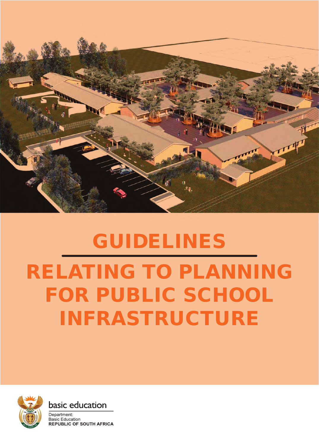

# **GUIDELINES** relating to planning for public school infrastructure





Department: **Basic Education REPUBLIC OF SOUTH AFRICA**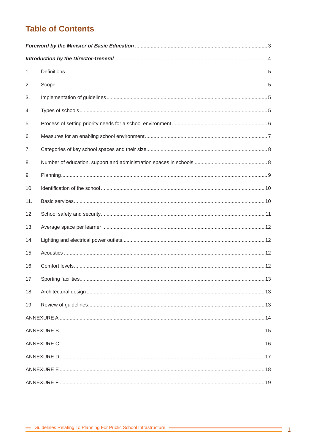# **Table of Contents**

| 1.  |  |
|-----|--|
| 2.  |  |
| 3.  |  |
| 4.  |  |
| 5.  |  |
| 6.  |  |
| 7.  |  |
| 8.  |  |
| 9.  |  |
| 10. |  |
| 11. |  |
| 12. |  |
| 13. |  |
| 14. |  |
| 15. |  |
| 16. |  |
| 17. |  |
| 18. |  |
| 19. |  |
|     |  |
|     |  |
|     |  |
|     |  |
|     |  |
|     |  |

Ξ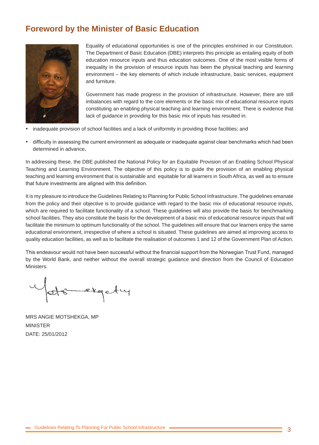# **Foreword by the Minister of Basic Education**



Equality of educational opportunities is one of the principles enshrined in our Constitution. The Department of Basic Education (DBE) interprets this principle as entailing equity of both education resource inputs and thus education outcomes. One of the most visible forms of inequality in the provision of resource inputs has been the physical teaching and learning environment – the key elements of which include infrastructure, basic services, equipment and furniture.

Government has made progress in the provision of infrastructure. However, there are still imbalances with regard to the core elements or the basic mix of educational resource inputs constituting an enabling physical teaching and learning environment. There is evidence that lack of guidance in providing for this basic mix of inputs has resulted in:

- inadequate provision of school facilities and a lack of uniformity in providing those facilities; and
- difficulty in assessing the current environment as adequate or inadequate against clear benchmarks which had been determined in advance**.**

In addressing these, the DBE published the National Policy for an Equitable Provision of an Enabling School Physical Teaching and Learning Environment. The objective of this policy is to guide the provision of an enabling physical teaching and learning environment that is sustainable and equitable for all learners in South Africa, as well as to ensure that future investments are aligned with this definition.

It is my pleasure to introduce the Guidelines Relating to Planning for Public School Infrastructure. The guidelines emanate from the policy and their objective is to provide guidance with regard to the basic mix of educational resource inputs, which are required to facilitate functionality of a school. These guidelines will also provide the basis for benchmarking school facilities. They also constitute the basis for the development of a basic mix of educational resource inputs that will facilitate the minimum to optimum functionality of the school. The guidelines will ensure that our learners enjoy the same educational environment, irrespective of where a school is situated. These guidelines are aimed at improving access to quality education facilities, as well as to facilitate the realisation of outcomes 1 and 12 of the Government Plan of Action.

This endeavour would not have been successful without the financial support from the Norwegian Trust Fund, managed by the World Bank, and neither without the overall strategic guidance and direction from the Council of Education Ministers.

exgety

MRS ANGIE MOTSHEKGA, MP MINISTER DATE: 25/01/2012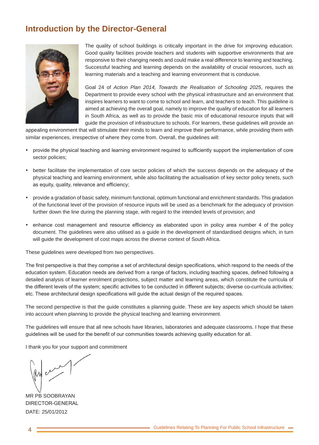## **Introduction by the Director-General**



The quality of school buildings is critically important in the drive for improving education. Good quality facilities provide teachers and students with supportive environments that are responsive to their changing needs and could make a real difference to learning and teaching. Successful teaching and learning depends on the availability of crucial resources, such as learning materials and a teaching and learning environment that is conducive.

Goal 24 of *Action Plan 2014, Towards the Realisation of Schooling 2025*, requires the Department to provide every school with the physical infrastructure and an environment that inspires learners to want to come to school and learn, and teachers to teach. This guideline is aimed at achieving the overall goal, namely to improve the quality of education for all learners in South Africa, as well as to provide the basic mix of educational resource inputs that will guide the provision of infrastructure to schools. For learners, these guidelines will provide an

appealing environment that will stimulate their minds to learn and improve their performance, while providing them with similar experiences, irrespective of where they come from. Overall, the guidelines will:

- • provide the physical teaching and learning environment required to sufficiently support the implementation of core sector policies;
- better facilitate the implementation of core sector policies of which the success depends on the adequacy of the physical teaching and learning environment, while also facilitating the actualisation of key sector policy tenets, such as equity, quality, relevance and efficiency;
- provide a gradation of basic safety, minimum functional, optimum functional and enrichment standards. This gradation of the functional level of the provision of resource inputs will be used as a benchmark for the adequacy of provision further down the line during the planning stage, with regard to the intended levels of provision; and
- enhance cost management and resource efficiency as elaborated upon in policy area number 4 of the policy document. The guidelines were also utilised as a guide in the development of standardised designs which, in turn will guide the development of cost maps across the diverse context of South Africa.

These guidelines were developed from two perspectives.

The first perspective is that they comprise a set of architectural design specifications, which respond to the needs of the education system. Education needs are derived from a range of factors, including teaching spaces, defined following a detailed analysis of learner enrolment projections, subject matter and learning areas, which constitute the curricula of the different levels of the system; specific activities to be conducted in different subjects; diverse co-curricula activities; etc. These architectural design specifications will guide the actual design of the required spaces.

The second perspective is that the guide constitutes a planning guide. These are key aspects which should be taken into account when planning to provide the physical teaching and learning environment.

The guidelines will ensure that all new schools have libraries, laboratories and adequate classrooms. I hope that these guidelines will be used for the benefit of our communities towards achieving quality education for all.

I thank you for your support and commitment

 $\mathcal{M}$ 

MR PB SOOBRAYAN DIRECTOR-GENERAL DATE: 25/01/2012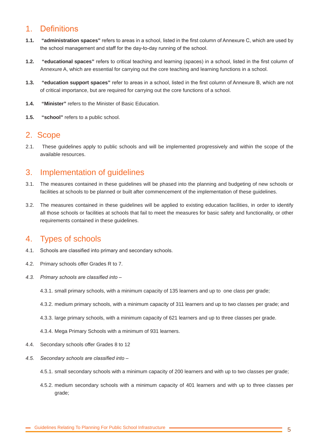## 1. Definitions

- **1.1. "administration spaces"** refers to areas in a school, listed in the first column of Annexure C, which are used by the school management and staff for the day-to-day running of the school.
- **1.2. "educational spaces"** refers to critical teaching and learning (spaces) in a school, listed in the first column of Annexure A, which are essential for carrying out the core teaching and learning functions in a school.
- **1.3. "education support spaces"** refer to areas in a school, listed in the first column of Annexure B, which are not of critical importance, but are required for carrying out the core functions of a school.
- **1.4. "Minister"** refers to the Minister of Basic Education.
- **1.5. "school"** refers to a public school.

#### 2. Scope

2.1. These guidelines apply to public schools and will be implemented progressively and within the scope of the available resources.

## 3. Implementation of guidelines

- 3.1. The measures contained in these guidelines will be phased into the planning and budgeting of new schools or facilities at schools to be planned or built after commencement of the implementation of these guidelines.
- 3.2. The measures contained in these guidelines will be applied to existing education facilities, in order to identify all those schools or facilities at schools that fail to meet the measures for basic safety and functionality, or other requirements contained in these guidelines.

## 4. Types of schools

- 4.1. Schools are classified into primary and secondary schools.
- 4.2. Primary schools offer Grades R to 7.
- *4.3. Primary schools are classified into* 
	- 4.3.1. small primary schools, with a minimum capacity of 135 learners and up to one class per grade;
	- 4.3.2. medium primary schools, with a minimum capacity of 311 learners and up to two classes per grade; and
	- 4.3.3. large primary schools, with a minimum capacity of 621 learners and up to three classes per grade.
	- 4.3.4. Mega Primary Schools with a minimum of 931 learners.
- 4.4. Secondary schools offer Grades 8 to 12
- *4.5. Secondary schools are classified into* 
	- 4.5.1. small secondary schools with a minimum capacity of 200 learners and with up to two classes per grade;
	- 4.5.2. medium secondary schools with a minimum capacity of 401 learners and with up to three classes per grade;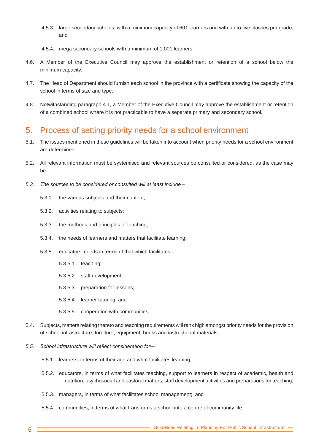- 4.5.3. large secondary schools, with a minimum capacity of 601 learners and with up to five classes per grade; and
- 4.5.4. mega secondary schools with a minimum of 1 001 learners.
- 4.6. A Member of the Executive Council may approve the establishment or retention of a school below the minimum capacity.
- 4.7. The Head of Department should furnish each school in the province with a certificate showing the capacity of the school in terms of size and type.
- 4.8. Notwithstanding paragraph 4.1*,* a Member of the Executive Council may approve the establishment or retention of a combined school where it is not practicable to have a separate primary and secondary school.

## 5. Process of setting priority needs for a school environment

- 5.1. The issues mentioned in these guidelines will be taken into account when priority needs for a school environment are determined.
- 5.2. All relevant information must be systemised and relevant sources be consulted or considered, as the case may be.
- *5.3. The sources to be considered or consulted will at least include* 
	- 5.3.1. the various subjects and their content;
	- 5.3.2. activities relating to subjects;
	- 5.3.3. the methods and principles of teaching;
	- 5.3.4. the needs of learners and matters that facilitate learning;
	- 5.3.5. educators' needs in terms of that which facilitates
		- 5.3.5.1. teaching;
		- 5.3.5.2. staff development;
		- 5.3.5.3. preparation for lessons;
		- 5.3.5.4. learner tutoring; and
		- 5.3.5.5. cooperation with communities.
- 5.4. Subjects, matters relating thereto and teaching requirements will rank high amongst priority needs for the provision of school infrastructure, furniture, equipment, books and instructional materials.
- *5.5. School infrastructure will reflect consideration for—*
	- 5.5.1. learners, in terms of their age and what facilitates learning;
	- 5.5.2. educators, in terms of what facilitates teaching, support to learners in respect of academic, health and nutrition, psychosocial and pastoral matters, staff development activities and preparations for teaching;
	- 5.5.3. managers, in terms of what facilitates school management; and
	- 5.5.4. communities, in terms of what transforms a school into a centre of community life.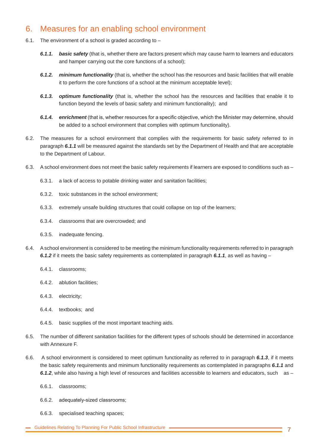## 6. Measures for an enabling school environment

- 6.1. The environment of a school is graded according to
	- *6.1.1. basic safety* (that is, whether there are factors present which may cause harm to learners and educators and hamper carrying out the core functions of a school);
	- *6.1.2. minimum functionality* (that is, whether the school has the resources and basic facilities that will enable it to perform the core functions of a school at the minimum acceptable level);
	- *6.1.3. optimum functionality* (that is, whether the school has the resources and facilities that enable it to function beyond the levels of basic safety and minimum functionality); and
	- *6.1.4. enrichment* (that is, whether resources for a specific objective, which the Minister may determine, should be added to a school environment that complies with optimum functionality).
- 6.2. The measures for a school environment that complies with the requirements for basic safety referred to in paragraph *6.1.1* will be measured against the standards set by the Department of Health and that are acceptable to the Department of Labour.
- 6.3. A school environment does not meet the basic safety requirements if learners are exposed to conditions such as
	- 6.3.1. a lack of access to potable drinking water and sanitation facilities;
	- 6.3.2. toxic substances in the school environment;
	- 6.3.3. extremely unsafe building structures that could collapse on top of the learners;
	- 6.3.4. classrooms that are overcrowded; and
	- 6.3.5. inadequate fencing.
- 6.4. A school environment is considered to be meeting the minimum functionality requirements referred to in paragraph *6.1.2* if it meets the basic safety requirements as contemplated in paragraph *6.1.1*, as well as having –
	- 6.4.1. classrooms;
	- 6.4.2. ablution facilities;
	- 6.4.3. electricity;
	- 6.4.4. textbooks; and
	- 6.4.5. basic supplies of the most important teaching aids.
- 6.5. The number of different sanitation facilities for the different types of schools should be determined in accordance with Annexure F.
- 6.6. A school environment is considered to meet optimum functionality as referred to in paragraph *6.1.3*, if it meets the basic safety requirements and minimum functionality requirements as contemplated in paragraphs *6.1.1* and *6.1.2*, while also having a high level of resources and facilities accessible to learners and educators, such as –
	- 6.6.1. classrooms;
	- 6.6.2. adequately-sized classrooms;
	- 6.6.3. specialised teaching spaces;
- Guidelines Relating To Planning For Public School Infrastructure  **All Access Contracts** For Alleman and Taylor T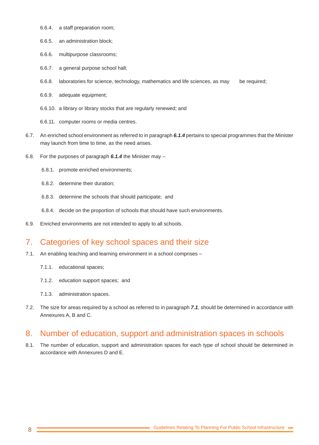- 6.6.4. a staff preparation room;
- 6.6.5. an administration block;
- 6.6.6. multipurpose classrooms;
- 6.6.7. a general purpose school hall;
- 6.6.8. laboratories for science, technology, mathematics and life sciences, as may be required;
- 6.6.9. adequate equipment;
- 6.6.10. a library or library stocks that are regularly renewed; and
- 6.6.11. computer rooms or media centres.
- 6.7. An enriched school environment as referred to in paragraph *6.1.4* pertains to special programmes that the Minister may launch from time to time, as the need arises.
- 6.8. For the purposes of paragraph *6.1.4* the Minister may
	- 6.8.1. promote enriched environments;
	- 6.8.2. determine their duration;
	- 6.8.3. determine the schools that should participate; and
	- 6.8.4. decide on the proportion of schools that should have such environments.
- 6.9. Enriched environments are not intended to apply to all schools.

#### 7. Categories of key school spaces and their size

- 7.1. An enabling teaching and learning environment in a school comprises
	- 7.1.1. educational spaces;
	- 7.1.2. education support spaces; and
	- 7.1.3. administration spaces.
- 7.2. The size for areas required by a school as referred to in paragraph *7.1*, should be determined in accordance with Annexures A, B and C.

#### 8. Number of education, support and administration spaces in schools

8.1. The number of education, support and administration spaces for each type of school should be determined in accordance with Annexures D and E.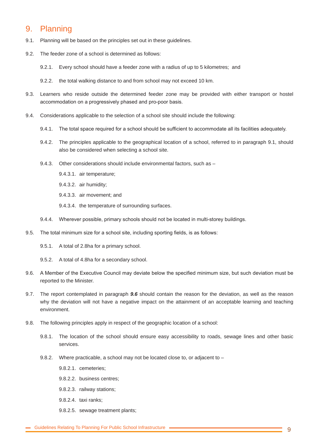## 9. Planning

- 9.1. Planning will be based on the principles set out in these guidelines.
- 9.2. The feeder zone of a school is determined as follows:
	- 9.2.1. Every school should have a feeder zone with a radius of up to 5 kilometres; and
	- 9.2.2. the total walking distance to and from school may not exceed 10 km.
- 9.3. Learners who reside outside the determined feeder zone may be provided with either transport or hostel accommodation on a progressively phased and pro-poor basis.
- 9.4. Considerations applicable to the selection of a school site should include the following:
	- 9.4.1. The total space required for a school should be sufficient to accommodate all its facilities adequately.
	- 9.4.2. The principles applicable to the geographical location of a school, referred to in paragraph 9.1, should also be considered when selecting a school site.
	- 9.4.3. Other considerations should include environmental factors, such as -
		- 9.4.3.1. air temperature;
		- 9.4.3.2. air humidity;
		- 9.4.3.3. air movement; and
		- 9.4.3.4. the temperature of surrounding surfaces.
	- 9.4.4. Wherever possible, primary schools should not be located in multi-storey buildings.
- 9.5. The total minimum size for a school site, including sporting fields, is as follows:
	- 9.5.1. A total of 2.8ha for a primary school.
	- 9.5.2. A total of 4.8ha for a secondary school.
- 9.6. A Member of the Executive Council may deviate below the specified minimum size, but such deviation must be reported to the Minister.
- 9.7. The report contemplated in paragraph *9.6* should contain the reason for the deviation, as well as the reason why the deviation will not have a negative impact on the attainment of an acceptable learning and teaching environment.
- 9.8. The following principles apply in respect of the geographic location of a school:
	- 9.8.1. The location of the school should ensure easy accessibility to roads, sewage lines and other basic services.
	- 9.8.2. Where practicable, a school may not be located close to, or adjacent to -
		- 9.8.2.1. cemeteries;
		- 9.8.2.2. business centres;
		- 9.8.2.3. railway stations;
		- 9.8.2.4. taxi ranks;
		- 9.8.2.5. sewage treatment plants;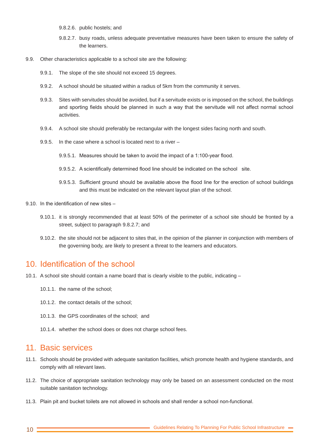- 9.8.2.6. public hostels; and
- 9.8.2.7. busy roads, unless adequate preventative measures have been taken to ensure the safety of the learners.
- 9.9. Other characteristics applicable to a school site are the following:
	- 9.9.1. The slope of the site should not exceed 15 degrees.
	- 9.9.2. A school should be situated within a radius of 5km from the community it serves.
	- 9.9.3. Sites with servitudes should be avoided, but if a servitude exists or is imposed on the school, the buildings and sporting fields should be planned in such a way that the servitude will not affect normal school activities.
	- 9.9.4. A school site should preferably be rectangular with the longest sides facing north and south.
	- 9.9.5. In the case where a school is located next to a river
		- 9.9.5.1. Measures should be taken to avoid the impact of a 1:100-year flood.
		- 9.9.5.2. A scientifically determined flood line should be indicated on the school site.
		- 9.9.5.3. Sufficient ground should be available above the flood line for the erection of school buildings and this must be indicated on the relevant layout plan of the school.
- 9.10. In the identification of new sites
	- 9.10.1. it is strongly recommended that at least 50% of the perimeter of a school site should be fronted by a street, subject to paragraph 9.8.2.7; and
	- 9.10.2. the site should not be adjacent to sites that, in the opinion of the planner in conjunction with members of the governing body, are likely to present a threat to the learners and educators.

#### 10. Identification of the school

- 10.1. A school site should contain a name board that is clearly visible to the public, indicating
	- 10.1.1. the name of the school;
	- 10.1.2. the contact details of the school;
	- 10.1.3. the GPS coordinates of the school; and
	- 10.1.4. whether the school does or does not charge school fees.

#### 11. Basic services

- 11.1. Schools should be provided with adequate sanitation facilities, which promote health and hygiene standards, and comply with all relevant laws.
- 11.2. The choice of appropriate sanitation technology may only be based on an assessment conducted on the most suitable sanitation technology.
- 11.3. Plain pit and bucket toilets are not allowed in schools and shall render a school non-functional.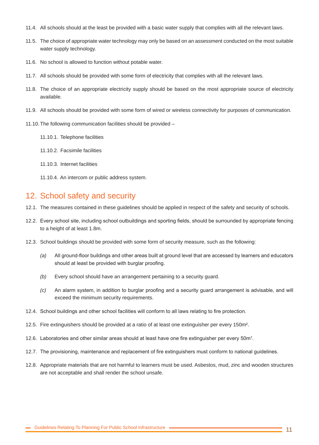- 11.4. All schools should at the least be provided with a basic water supply that complies with all the relevant laws.
- 11.5. The choice of appropriate water technology may only be based on an assessment conducted on the most suitable water supply technology.
- 11.6. No school is allowed to function without potable water.
- 11.7. All schools should be provided with some form of electricity that complies with all the relevant laws.
- 11.8. The choice of an appropriate electricity supply should be based on the most appropriate source of electricity available.
- 11.9. All schools should be provided with some form of wired or wireless connectivity for purposes of communication.
- 11.10.The following communication facilities should be provided
	- 11.10.1. Telephone facilities
	- 11.10.2. Facsimile facilities
	- 11.10.3. Internet facilities
	- 11.10.4. An intercom or public address system.

#### 12. School safety and security

- 12.1. The measures contained in these guidelines should be applied in respect of the safety and security of schools.
- 12.2. Every school site, including school outbuildings and sporting fields, should be surrounded by appropriate fencing to a height of at least 1.8m.
- 12.3. School buildings should be provided with some form of security measure, such as the following:
	- *(a)* All ground-floor buildings and other areas built at ground level that are accessed by learners and educators should at least be provided with burglar proofing.
	- *(b)* Every school should have an arrangement pertaining to a security guard.
	- *(c)* An alarm system, in addition to burglar proofing and a security guard arrangement is advisable, and will exceed the minimum security requirements.
- 12.4. School buildings and other school facilities will conform to all laws relating to fire protection.
- 12.5. Fire extinguishers should be provided at a ratio of at least one extinguisher per every 150m².
- 12.6. Laboratories and other similar areas should at least have one fire extinguisher per every  $50<sup>m²</sup>$ .
- 12.7. The provisioning, maintenance and replacement of fire extinguishers must conform to national guidelines.
- 12.8. Appropriate materials that are not harmful to learners must be used. Asbestos, mud, zinc and wooden structures are not acceptable and shall render the school unsafe.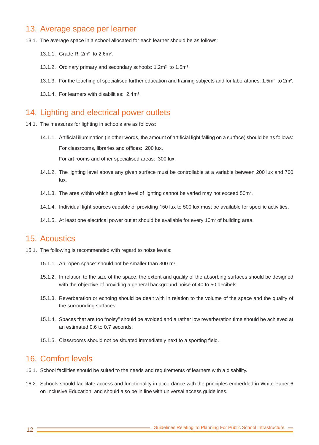#### 13. Average space per learner

- 13.1. The average space in a school allocated for each learner should be as follows:
	- 13.1.1. Grade R: 2m² to 2.6m².
	- 13.1.2. Ordinary primary and secondary schools: 1.2m² to 1.5m².
	- 13.1.3. For the teaching of specialised further education and training subjects and for laboratories: 1.5m² to 2m².
	- 13.1.4. For learners with disabilities: 2.4m².

#### 14. Lighting and electrical power outlets

- 14.1. The measures for lighting in schools are as follows:
	- 14.1.1. Artificial illumination (in other words, the amount of artificial light falling on a surface) should be as follows: For classrooms, libraries and offices: 200 lux.

For art rooms and other specialised areas: 300 lux.

- 14.1.2. The lighting level above any given surface must be controllable at a variable between 200 lux and 700 lux.
- 14.1.3. The area within which a given level of lighting cannot be varied may not exceed 50m<sup>2</sup>.
- 14.1.4. Individual light sources capable of providing 150 lux to 500 lux must be available for specific activities.
- 14.1.5. At least one electrical power outlet should be available for every 10m<sup>2</sup> of building area.

#### 15. Acoustics

- 15.1. The following is recommended with regard to noise levels:
	- 15.1.1. An "open space" should not be smaller than 300 m².
	- 15.1.2. In relation to the size of the space, the extent and quality of the absorbing surfaces should be designed with the objective of providing a general background noise of 40 to 50 decibels.
	- 15.1.3. Reverberation or echoing should be dealt with in relation to the volume of the space and the quality of the surrounding surfaces.
	- 15.1.4. Spaces that are too "noisy" should be avoided and a rather low reverberation time should be achieved at an estimated 0.6 to 0.7 seconds.
	- 15.1.5. Classrooms should not be situated immediately next to a sporting field.

#### 16. Comfort levels

- 16.1. School facilities should be suited to the needs and requirements of learners with a disability.
- 16.2. Schools should facilitate access and functionality in accordance with the principles embedded in White Paper 6 on Inclusive Education, and should also be in line with universal access guidelines.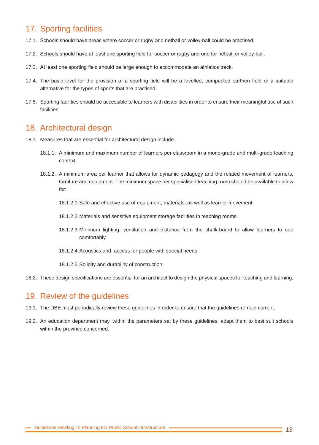# 17. Sporting facilities

- 17.1. Schools should have areas where soccer or rugby and netball or volley-ball could be practised.
- 17.2. Schools should have at least one sporting field for soccer or rugby and one for netball or volley-ball.
- 17.3. At least one sporting field should be large enough to accommodate an athletics track.
- 17.4. The basic level for the provision of a sporting field will be a levelled, compacted earthen field or a suitable alternative for the types of sports that are practised.
- 17.5. Sporting facilities should be accessible to learners with disabilities in order to ensure their meaningful use of such facilities.

#### 18. Architectural design

- 18.1. Measures that are essential for architectural design include
	- 18.1.1. A minimum and maximum number of learners per classroom in a mono-grade and multi-grade teaching context.
	- 18.1.2. A minimum area per learner that allows for dynamic pedagogy and the related movement of learners, furniture and equipment. The minimum space per specialised teaching room should be available to allow for:
		- 18.1.2.1.Safe and effective use of equipment, materials, as well as learner movement.
		- 18.1.2.2.Materials and sensitive equipment storage facilities in teaching rooms.
		- 18.1.2.3.Minimum lighting, ventilation and distance from the chalk-board to allow learners to see comfortably.
		- 18.1.2.4.Acoustics and access for people with special needs.
		- 18.1.2.5.Solidity and durability of construction.
- 18.2. These design specifications are essential for an architect to design the physical spaces for teaching and learning.

#### 19. Review of the guidelines

- 19.1. The DBE must periodically review these guidelines in order to ensure that the guidelines remain current.
- 19.2. An education department may, within the parameters set by these guidelines, adapt them to best suit schools within the province concerned.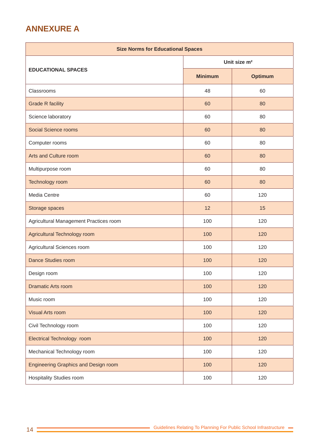# **ANNEXURE A**

| <b>Size Norms for Educational Spaces</b>    |                          |                |  |  |  |  |  |  |  |
|---------------------------------------------|--------------------------|----------------|--|--|--|--|--|--|--|
|                                             | Unit size m <sup>2</sup> |                |  |  |  |  |  |  |  |
| <b>EDUCATIONAL SPACES</b>                   | <b>Minimum</b>           | <b>Optimum</b> |  |  |  |  |  |  |  |
| Classrooms                                  | 48                       | 60             |  |  |  |  |  |  |  |
| <b>Grade R facility</b>                     | 60                       | 80             |  |  |  |  |  |  |  |
| Science laboratory                          | 60                       | 80             |  |  |  |  |  |  |  |
| <b>Social Science rooms</b>                 | 60                       | 80             |  |  |  |  |  |  |  |
| Computer rooms                              | 60                       | 80             |  |  |  |  |  |  |  |
| Arts and Culture room                       | 60                       | 80             |  |  |  |  |  |  |  |
| Multipurpose room                           | 60                       | 80             |  |  |  |  |  |  |  |
| Technology room                             | 60                       | 80             |  |  |  |  |  |  |  |
| Media Centre                                | 60                       | 120            |  |  |  |  |  |  |  |
| Storage spaces                              | 12                       | 15             |  |  |  |  |  |  |  |
| Agricultural Management Practices room      | 100                      | 120            |  |  |  |  |  |  |  |
| Agricultural Technology room                | 100                      | 120            |  |  |  |  |  |  |  |
| Agricultural Sciences room                  | 100                      | 120            |  |  |  |  |  |  |  |
| <b>Dance Studies room</b>                   | 100                      | 120            |  |  |  |  |  |  |  |
| Design room                                 | 100                      | 120            |  |  |  |  |  |  |  |
| <b>Dramatic Arts room</b>                   | 100                      | 120            |  |  |  |  |  |  |  |
| Music room                                  | 100                      | 120            |  |  |  |  |  |  |  |
| <b>Visual Arts room</b>                     | 100                      | 120            |  |  |  |  |  |  |  |
| Civil Technology room                       | 100                      | 120            |  |  |  |  |  |  |  |
| Electrical Technology room                  | 100                      | 120            |  |  |  |  |  |  |  |
| Mechanical Technology room                  | 100                      | 120            |  |  |  |  |  |  |  |
| <b>Engineering Graphics and Design room</b> | 100                      | 120            |  |  |  |  |  |  |  |
| <b>Hospitality Studies room</b>             | 100                      | 120            |  |  |  |  |  |  |  |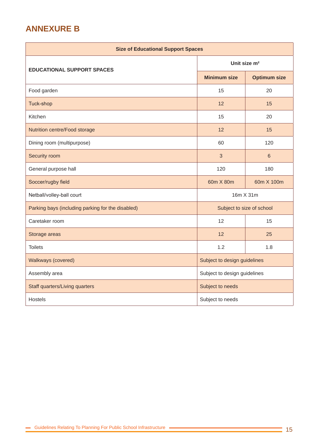# **ANNEXURE B**

| <b>Size of Educational Support Spaces</b>         |                              |                     |  |  |  |  |  |  |  |
|---------------------------------------------------|------------------------------|---------------------|--|--|--|--|--|--|--|
| <b>EDUCATIONAL SUPPORT SPACES</b>                 | Unit size m <sup>2</sup>     |                     |  |  |  |  |  |  |  |
|                                                   | <b>Minimum size</b>          | <b>Optimum size</b> |  |  |  |  |  |  |  |
| Food garden                                       | 15                           | 20                  |  |  |  |  |  |  |  |
| Tuck-shop                                         | 12                           | 15                  |  |  |  |  |  |  |  |
| Kitchen                                           | 15                           | 20                  |  |  |  |  |  |  |  |
| Nutrition centre/Food storage                     | 12                           | 15                  |  |  |  |  |  |  |  |
| Dining room (multipurpose)                        | 60                           | 120                 |  |  |  |  |  |  |  |
| Security room                                     | 3                            | $6\phantom{1}6$     |  |  |  |  |  |  |  |
| General purpose hall                              | 120                          | 180                 |  |  |  |  |  |  |  |
| Soccer/rugby field                                | 60m X 80m                    | 60m X 100m          |  |  |  |  |  |  |  |
| Netball/volley-ball court                         | 16m X 31m                    |                     |  |  |  |  |  |  |  |
| Parking bays (including parking for the disabled) | Subject to size of school    |                     |  |  |  |  |  |  |  |
| Caretaker room                                    | 12                           | 15                  |  |  |  |  |  |  |  |
| Storage areas                                     | 12                           | 25                  |  |  |  |  |  |  |  |
| <b>Toilets</b>                                    | 1.2<br>1.8                   |                     |  |  |  |  |  |  |  |
| Walkways (covered)                                | Subject to design guidelines |                     |  |  |  |  |  |  |  |
| Assembly area                                     | Subject to design guidelines |                     |  |  |  |  |  |  |  |
| <b>Staff quarters/Living quarters</b>             | Subject to needs             |                     |  |  |  |  |  |  |  |
| <b>Hostels</b>                                    | Subject to needs             |                     |  |  |  |  |  |  |  |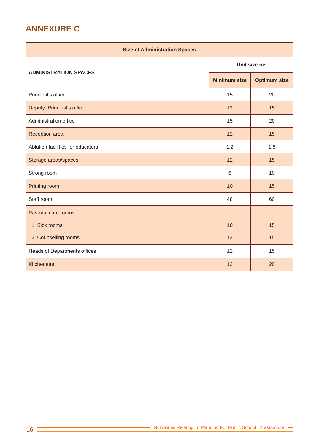# **ANNEXURE C**

| <b>Size of Administration Spaces</b> |                          |                     |  |  |  |  |  |  |  |
|--------------------------------------|--------------------------|---------------------|--|--|--|--|--|--|--|
|                                      | Unit size m <sup>2</sup> |                     |  |  |  |  |  |  |  |
| <b>ADMINISTRATION SPACES</b>         | <b>Minimum size</b>      | <b>Optimum size</b> |  |  |  |  |  |  |  |
| Principal's office                   | 15                       | 20                  |  |  |  |  |  |  |  |
| Deputy Principal's office            | 12                       | 15                  |  |  |  |  |  |  |  |
| Administration office                | 15                       | 20                  |  |  |  |  |  |  |  |
| Reception area                       | 12                       | 15                  |  |  |  |  |  |  |  |
| Ablution facilities for educators    | 1.2                      | 1.8                 |  |  |  |  |  |  |  |
| Storage areas/spaces                 | 12                       | 15                  |  |  |  |  |  |  |  |
| Strong room                          | 6                        | 10                  |  |  |  |  |  |  |  |
| Printing room                        | 10                       | 15                  |  |  |  |  |  |  |  |
| Staff room                           | 48                       | 60                  |  |  |  |  |  |  |  |
| Pastoral care rooms                  |                          |                     |  |  |  |  |  |  |  |
| 1. Sick rooms                        | 10                       | 15                  |  |  |  |  |  |  |  |
| 2. Counselling rooms                 | 12                       | 15                  |  |  |  |  |  |  |  |
| Heads of Departments offices         | 12                       | 15                  |  |  |  |  |  |  |  |
| Kitchenette                          | 12                       | 20                  |  |  |  |  |  |  |  |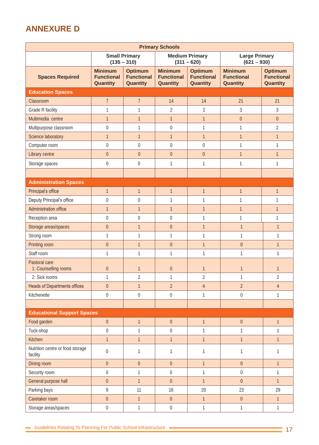# **ANNEXURE D**

| <b>Primary Schools</b>                       |                                                 |                                                 |                                                 |                                                 |                                                 |                                                 |  |  |  |
|----------------------------------------------|-------------------------------------------------|-------------------------------------------------|-------------------------------------------------|-------------------------------------------------|-------------------------------------------------|-------------------------------------------------|--|--|--|
|                                              | <b>Small Primary</b><br>$(135 - 310)$           |                                                 |                                                 | <b>Medium Primary</b><br>$(311 - 620)$          | <b>Large Primary</b><br>$(621 - 930)$           |                                                 |  |  |  |
| <b>Spaces Required</b>                       | <b>Minimum</b><br><b>Functional</b><br>Quantity | <b>Optimum</b><br><b>Functional</b><br>Quantity | <b>Minimum</b><br><b>Functional</b><br>Quantity | <b>Optimum</b><br><b>Functional</b><br>Quantity | <b>Minimum</b><br><b>Functional</b><br>Quantity | <b>Optimum</b><br><b>Functional</b><br>Quantity |  |  |  |
| <b>Education Spaces</b>                      |                                                 |                                                 |                                                 |                                                 |                                                 |                                                 |  |  |  |
| Classroom                                    | $\overline{7}$                                  | $\overline{7}$                                  | 14                                              | 14                                              | 21                                              | 21                                              |  |  |  |
| Grade R facility                             | $\mathbf{1}$                                    | $\mathbf{1}$                                    | $\overline{2}$                                  | $\overline{2}$                                  | 3                                               | $\mathfrak{Z}$                                  |  |  |  |
| Multimedia centre                            | $\mathbf{1}$                                    | $\mathbf{1}$                                    | $\mathbf{1}$                                    | $\mathbf{1}$                                    | $\boldsymbol{0}$                                | $\boldsymbol{0}$                                |  |  |  |
| Multipurpose classroom                       | $\boldsymbol{0}$                                | $\mathbf{1}$                                    | $\boldsymbol{0}$                                | $\mathbf{1}$                                    | $\mathbf{1}$                                    | $\overline{2}$                                  |  |  |  |
| Science laboratory                           | $\mathbf{1}$                                    | $\mathbf{1}$                                    | $\mathbf{1}$                                    | $\mathbf{1}$                                    | $\mathbf{1}$                                    | $\mathbf{1}$                                    |  |  |  |
| Computer room                                | $\mathbf 0$                                     | $\overline{0}$                                  | $\boldsymbol{0}$                                | $\mathbf 0$                                     | $\mathbf{1}$                                    | 1                                               |  |  |  |
| Library centre                               | $\overline{0}$                                  | $\overline{0}$                                  | $\boldsymbol{0}$                                | $\overline{0}$                                  | $\mathbf{1}$                                    | $\mathbf{1}$                                    |  |  |  |
| Storage spaces                               | $\boldsymbol{0}$                                | $\boldsymbol{0}$                                | $\mathbf{1}$                                    | 1                                               | 1                                               | 1                                               |  |  |  |
|                                              |                                                 |                                                 |                                                 |                                                 |                                                 |                                                 |  |  |  |
| <b>Administration Spaces</b>                 |                                                 |                                                 |                                                 |                                                 |                                                 |                                                 |  |  |  |
| Principal's office                           | $\mathbf{1}$                                    | $\mathbf{1}$                                    | $\overline{1}$                                  | $\mathbf{1}$                                    | $\mathbf{1}$                                    | $\mathbf{1}$                                    |  |  |  |
| Deputy Principal's office                    | $\boldsymbol{0}$                                | $\boldsymbol{0}$                                | $\mathbf{1}$                                    | 1                                               | $\mathbf{1}$                                    | 1                                               |  |  |  |
| Administration office                        | $\mathbf{1}$                                    | $\mathbf{1}$                                    | $\mathbf{1}$<br>$\mathbf{1}$                    |                                                 | $\mathbf{1}$                                    | $\mathbf{1}$                                    |  |  |  |
| Reception area                               | $\boldsymbol{0}$                                | $\boldsymbol{0}$                                | $\boldsymbol{0}$                                | 1                                               | $\mathbf{1}$                                    | 1                                               |  |  |  |
| Storage areas/spaces                         | $\boldsymbol{0}$                                | $\mathbf{1}$                                    | $\boldsymbol{0}$                                | $\overline{1}$                                  | $\overline{1}$                                  | $\mathbf{1}$                                    |  |  |  |
| Strong room                                  | $\mathbf{1}$                                    | 1                                               | $\mathbf{1}$                                    | $\mathbf{1}$                                    | 1                                               | $\mathbf{1}$                                    |  |  |  |
| Printing room                                | $\boldsymbol{0}$                                | $\mathbf{1}$                                    | $\boldsymbol{0}$                                | $\overline{1}$                                  | $\boldsymbol{0}$                                | $\mathbf{1}$                                    |  |  |  |
| Staff room                                   | $\mathbf{1}$                                    | 1                                               | $\mathbf{1}$                                    | $\mathbf{1}$                                    | $\mathbf{1}$                                    | 1                                               |  |  |  |
| Pastoral care<br>1: Counselling rooms        | $\overline{0}$                                  | $\mathbf{1}$                                    | $\theta$                                        | $\mathbf{1}$                                    | $\mathbf{1}$                                    | $\mathbf{1}$                                    |  |  |  |
| 2: Sick rooms                                | $\mathbf{1}$                                    | $\overline{2}$                                  | $\mathbf{1}$                                    | $\overline{2}$                                  | $\mathbf{1}$                                    | $\overline{2}$                                  |  |  |  |
| <b>Heads of Departments offices</b>          | $\boldsymbol{0}$                                | $\mathbf{1}$                                    | $\overline{2}$                                  | $\overline{4}$                                  | $\overline{2}$                                  | $\sqrt{4}$                                      |  |  |  |
| Kitchenette                                  | $\boldsymbol{0}$                                | $\boldsymbol{0}$                                | $\boldsymbol{0}$                                | $\mathbf{1}$                                    | $\boldsymbol{0}$                                | $\mathbf{1}$                                    |  |  |  |
|                                              |                                                 |                                                 |                                                 |                                                 |                                                 |                                                 |  |  |  |
| <b>Educational Support Spaces</b>            |                                                 |                                                 |                                                 |                                                 |                                                 |                                                 |  |  |  |
| Food garden                                  | $\boldsymbol{0}$                                | $\mathbf{1}$                                    | $\boldsymbol{0}$                                | $\mathbf{1}$                                    | $\boldsymbol{0}$                                | $\mathbf{1}$                                    |  |  |  |
| Tuck-shop                                    | $\overline{0}$                                  | 1                                               | $\boldsymbol{0}$                                | $\mathbf{1}$                                    | 1                                               | $\mathbf{1}$                                    |  |  |  |
| Kitchen                                      | $\mathbf{1}$                                    | $\mathbf{1}$                                    | $\mathbf{1}$                                    | $\mathbf{1}$                                    | $\mathbf{1}$                                    | $\mathbf{1}$                                    |  |  |  |
| Nutrition centre or food storage<br>facility | $\boldsymbol{0}$                                | 1                                               | $\mathbf{1}$                                    | $\mathbf 1$                                     | $\mathbf{1}$                                    | $\mathbf{1}$                                    |  |  |  |
| Dining room                                  | $\boldsymbol{0}$<br>$\boldsymbol{0}$            |                                                 | $\overline{0}$                                  | $\mathbf{1}$                                    | $\boldsymbol{0}$                                | $\mathbf{1}$                                    |  |  |  |
| Security room                                | $\boldsymbol{0}$                                | $\mathbf{1}$                                    | $\boldsymbol{0}$                                | $\mathbf{1}$                                    | $\mathbf 0$                                     | $\mathbf{1}$                                    |  |  |  |
| General purpose hall                         | $\overline{0}$                                  | $\mathbf{1}$                                    | $\boldsymbol{0}$                                | $\mathbf{1}$                                    | $\boldsymbol{0}$                                | $\mathbf{1}$                                    |  |  |  |
| Parking bays                                 | 9                                               | 11                                              | 16                                              | 20                                              | 23                                              | 29                                              |  |  |  |
| Caretaker room                               | $\boldsymbol{0}$                                | $\mathbf{1}$                                    | $\boldsymbol{0}$                                | $\boldsymbol{0}$<br>$\mathbf{1}$                |                                                 | $\mathbf{1}$                                    |  |  |  |
| Storage areas/spaces                         | $\boldsymbol{0}$                                | $\mathbf{1}$                                    | $\boldsymbol{0}$                                | $\mathbf{1}$                                    | $\mathbf{1}$                                    | $\mathbf{1}$                                    |  |  |  |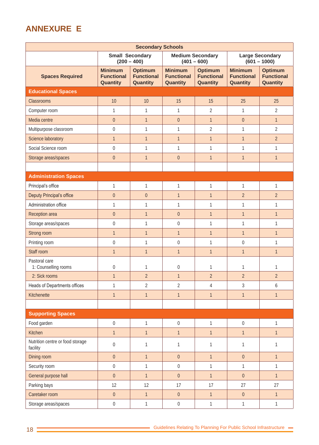# **ANNEXURE E**

| <b>Secondary Schools</b>                     |                                                 |                                                 |                                                 |                                                 |                                                        |                                                 |  |  |  |  |
|----------------------------------------------|-------------------------------------------------|-------------------------------------------------|-------------------------------------------------|-------------------------------------------------|--------------------------------------------------------|-------------------------------------------------|--|--|--|--|
|                                              |                                                 | <b>Small Secondary</b><br>$(200 - 400)$         |                                                 | <b>Medium Secondary</b><br>$(401 - 600)$        | <b>Large Secondary</b><br>$(601 - 1000)$               |                                                 |  |  |  |  |
| <b>Spaces Required</b>                       | <b>Minimum</b><br><b>Functional</b><br>Quantity | <b>Optimum</b><br><b>Functional</b><br>Quantity | <b>Minimum</b><br><b>Functional</b><br>Quantity | <b>Optimum</b><br><b>Functional</b><br>Quantity | <b>Minimum</b><br><b>Functional</b><br><b>Quantity</b> | <b>Optimum</b><br><b>Functional</b><br>Quantity |  |  |  |  |
| <b>Educational Spaces</b>                    |                                                 |                                                 |                                                 |                                                 |                                                        |                                                 |  |  |  |  |
| Classrooms                                   | 10                                              | 10                                              | 15                                              | 15                                              | 25                                                     | 25                                              |  |  |  |  |
| Computer room                                | 1                                               | $\mathbf{1}$                                    | $\mathbf{1}$                                    | $\overline{2}$                                  | 1                                                      | $\overline{2}$                                  |  |  |  |  |
| Media centre                                 | $\theta$                                        | $\mathbf{1}$                                    | $\boldsymbol{0}$                                | $\mathbf{1}$                                    | $\boldsymbol{0}$                                       | $\mathbf{1}$                                    |  |  |  |  |
| Multipurpose classroom                       | $\boldsymbol{0}$                                | 1                                               | 1                                               | $\overline{2}$                                  | 1                                                      | $\overline{2}$                                  |  |  |  |  |
| Science laboratory                           | $\mathbf{1}$                                    | $\mathbf{1}$                                    | $\mathbf{1}$                                    | $\mathbf{1}$                                    | $\mathbf{1}$                                           | $\overline{2}$                                  |  |  |  |  |
| Social Science room                          | $\boldsymbol{0}$                                | 1                                               | 1                                               | 1                                               | 1                                                      | 1                                               |  |  |  |  |
| Storage areas/spaces                         | $\boldsymbol{0}$                                | $\mathbf{1}$                                    | $\boldsymbol{0}$                                | $\mathbf{1}$                                    | $\mathbf{1}$                                           | $\mathbf{1}$                                    |  |  |  |  |
|                                              |                                                 |                                                 |                                                 |                                                 |                                                        |                                                 |  |  |  |  |
| <b>Administration Spaces</b>                 |                                                 |                                                 |                                                 |                                                 |                                                        |                                                 |  |  |  |  |
| Principal's office                           | 1                                               | $\mathbf{1}$                                    | 1                                               | $\mathbf{1}$                                    | 1                                                      | $\mathbf{1}$                                    |  |  |  |  |
| Deputy Principal's office                    | $\boldsymbol{0}$                                | $\boldsymbol{0}$                                | $\mathbf{1}$                                    | $\mathbf{1}$                                    | $\overline{2}$                                         | $\overline{2}$                                  |  |  |  |  |
| Administration office                        | 1                                               | 1                                               | 1                                               | $\mathbf{1}$                                    | 1                                                      | 1                                               |  |  |  |  |
| Reception area                               | $\boldsymbol{0}$                                | $\mathbf{1}$                                    | $\boldsymbol{0}$                                | $\mathbf{1}$                                    | $\mathbf{1}$                                           | $\mathbf{1}$                                    |  |  |  |  |
| Storage areas/spaces                         | $\boldsymbol{0}$                                | 1                                               | $\boldsymbol{0}$                                | 1                                               | 1                                                      | 1                                               |  |  |  |  |
| Strong room                                  | $\mathbf{1}$                                    | $\mathbf{1}$                                    | $\mathbf{1}$                                    | $\mathbf{1}$                                    | $\mathbf{1}$                                           | 1                                               |  |  |  |  |
| Printing room                                | $\boldsymbol{0}$                                | 1                                               | $\boldsymbol{0}$                                | 1                                               | $\boldsymbol{0}$                                       | 1                                               |  |  |  |  |
| Staff room                                   | $\mathbf{1}$                                    | $\mathbf{1}$                                    | $\mathbf{1}$                                    | $\mathbf{1}$                                    | $\mathbf{1}$                                           | $\mathbf{1}$                                    |  |  |  |  |
| Pastoral care<br>1: Counselling rooms        | $\boldsymbol{0}$                                | 1                                               | $\boldsymbol{0}$                                | 1                                               | 1                                                      | 1                                               |  |  |  |  |
| 2: Sick rooms                                | $\mathbf{1}$                                    | $\overline{2}$                                  | $\mathbf{1}$                                    | $\overline{2}$                                  | $\overline{2}$                                         | $\overline{2}$                                  |  |  |  |  |
| Heads of Departments offices                 | $\mathbf 1$                                     | $\overline{2}$                                  | $\overline{2}$                                  | $\overline{4}$                                  | 3                                                      | 6                                               |  |  |  |  |
| Kitchenette                                  | $\mathbf{1}$                                    | $\mathbf{1}$                                    | $\mathbf{1}$                                    | $\mathbf{1}$                                    | $\mathbf{1}$                                           | $\mathbf{1}$                                    |  |  |  |  |
|                                              |                                                 |                                                 |                                                 |                                                 |                                                        |                                                 |  |  |  |  |
| <b>Supporting Spaces</b>                     |                                                 |                                                 |                                                 |                                                 |                                                        |                                                 |  |  |  |  |
| Food garden                                  | $\boldsymbol{0}$                                | $\mathbf{1}$                                    | $\boldsymbol{0}$                                | 1                                               | $\boldsymbol{0}$                                       | $\mathbf{1}$                                    |  |  |  |  |
| Kitchen                                      | $\mathbf{1}$                                    | $\mathbf{1}$                                    | $\mathbf{1}$                                    | $\mathbf{1}$                                    | $\mathbf{1}$                                           | $\mathbf{1}$                                    |  |  |  |  |
| Nutrition centre or food storage<br>facility | $\boldsymbol{0}$                                | 1                                               | $\mathbf 1$                                     | 1                                               | $\mathbf 1$                                            | 1                                               |  |  |  |  |
| Dining room                                  | $\boldsymbol{0}$                                | $\mathbf{1}$                                    | $\boldsymbol{0}$                                | $\mathbf{1}$                                    | $\boldsymbol{0}$                                       | $\mathbf{1}$                                    |  |  |  |  |
| Security room                                | $\boldsymbol{0}$                                | $\mathbf{1}$                                    | $\boldsymbol{0}$                                | $\mathbf{1}$                                    | $\mathbf{1}$                                           | 1                                               |  |  |  |  |
| General purpose hall                         | $\overline{0}$                                  | $\mathbf{1}$                                    | $\overline{0}$                                  | $\mathbf{1}$                                    | $\overline{0}$                                         | $\mathbf{1}$                                    |  |  |  |  |
| Parking bays                                 | 12                                              | 12                                              | 17                                              | 17                                              | 27                                                     | 27                                              |  |  |  |  |
| Caretaker room                               | $\boldsymbol{0}$                                | $\mathbf{1}$                                    | $\boldsymbol{0}$                                | $\mathbf{1}$                                    | $\boldsymbol{0}$                                       | $\mathbf{1}$                                    |  |  |  |  |
| Storage areas/spaces                         | $\boldsymbol{0}$                                | $\mathbf{1}$                                    | $\boldsymbol{0}$                                | $\mathbf{1}$                                    | $\mathbf 1$                                            | $\mathbf{1}$                                    |  |  |  |  |